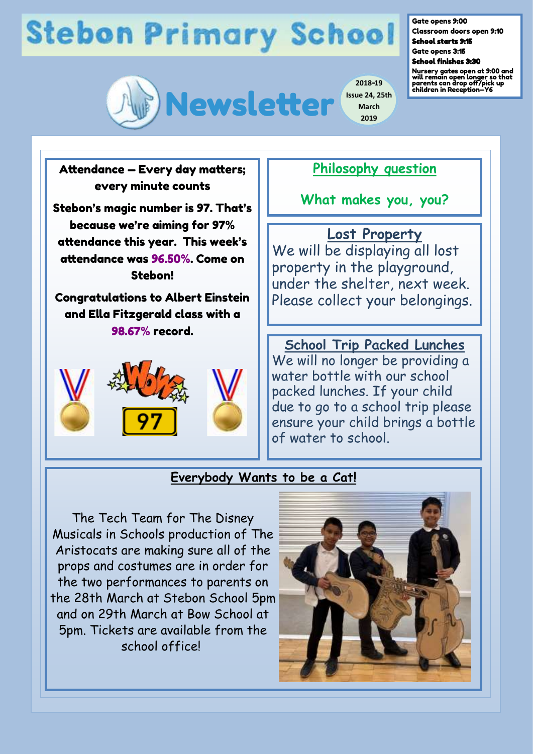# **Stebon Primary School**



Gate opens 9:00

Classroom doors open 9:10 School starts 9:15

Gate opens 3:15 School finishes 3:30

Nursery gates open at 9:00 and will remain open longer so that parents can drop off/pick up children in Reception—Y6

Attendance — Every day matters; every minute counts

Stebon's magic number is 97. That's because we're aiming for 97% attendance this year. This week's attendance was 96.50%. Come on Stebon!

Congratulations to Albert Einstein and Ella Fitzgerald class with a 98.67% record.



### **Philosophy question**

**2018-19**

**March 2019**

**What makes you, you?**

**Lost Property** We will be displaying all lost property in the playground, under the shelter, next week. Please collect your belongings.

**School Trip Packed Lunches**  We will no longer be providing a water bottle with our school packed lunches. If your child due to go to a school trip please ensure your child brings a bottle of water to school.

#### **Everybody Wants to be a Cat!**

The Tech Team for The Disney Musicals in Schools production of The Aristocats are making sure all of the props and costumes are in order for the two performances to parents on the 28th March at Stebon School 5pm and on 29th March at Bow School at 5pm. Tickets are available from the school office!